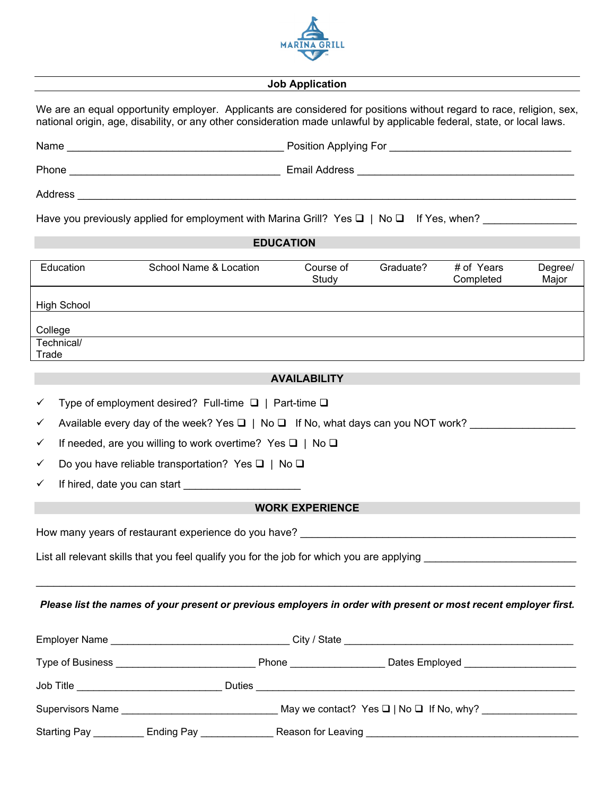

#### **Job Application**

We are an equal opportunity employer. Applicants are considered for positions without regard to race, religion, sex, national origin, age, disability, or any other consideration made unlawful by applicable federal, state, or local laws.

| Name    | Position Applying For |
|---------|-----------------------|
| Phone   | <b>Email Address</b>  |
| Address |                       |

Have you previously applied for employment with Marina Grill? Yes  $\Box$  | No  $\Box$  If Yes, when?

# **EDUCATION**

| Education           | School Name & Location | Course of<br>Study | Graduate? | # of Years<br>Completed | Degree/<br>Major |
|---------------------|------------------------|--------------------|-----------|-------------------------|------------------|
| <b>High School</b>  |                        |                    |           |                         |                  |
| College             |                        |                    |           |                         |                  |
| Technical/<br>Trade |                        |                    |           |                         |                  |

## **AVAILABILITY**

| Type of employment desired? Full-time $\Box$   Part-time $\Box$ |  |
|-----------------------------------------------------------------|--|
|                                                                 |  |

 $\checkmark$  Available every day of the week? Yes  $\Box$  | No  $\Box$  If No, what days can you NOT work?

 $\checkmark$  If needed, are you willing to work overtime? Yes  $\Box$  | No  $\Box$ 

 $\checkmark$  Do you have reliable transportation? Yes  $\Box$  | No  $\Box$ 

 $\checkmark$  If hired, date you can start

### **WORK EXPERIENCE**

How many years of restaurant experience do you have? \_\_\_\_\_\_\_\_\_\_\_\_\_\_\_\_\_\_\_\_\_\_\_\_\_\_\_\_\_\_\_\_\_\_\_\_\_\_\_\_\_\_\_\_\_\_\_

List all relevant skills that you feel qualify you for the job for which you are applying

#### *Please list the names of your present or previous employers in order with present or most recent employer first.*

 $\_$  ,  $\_$  ,  $\_$  ,  $\_$  ,  $\_$  ,  $\_$  ,  $\_$  ,  $\_$  ,  $\_$  ,  $\_$  ,  $\_$  ,  $\_$  ,  $\_$  ,  $\_$  ,  $\_$  ,  $\_$  ,  $\_$  ,  $\_$  ,  $\_$  ,  $\_$  ,  $\_$  ,  $\_$  ,  $\_$  ,  $\_$  ,  $\_$  ,  $\_$  ,  $\_$  ,  $\_$  ,  $\_$  ,  $\_$  ,  $\_$  ,  $\_$  ,  $\_$  ,  $\_$  ,  $\_$  ,  $\_$  ,  $\_$  ,

|                     | Employer Name<br>City / State that the control of the control of the control of the control of the control of the control of the control of the control of the control of the control of the control of the control of the control of the contr |                    |                |  |
|---------------------|-------------------------------------------------------------------------------------------------------------------------------------------------------------------------------------------------------------------------------------------------|--------------------|----------------|--|
| Type of Business    |                                                                                                                                                                                                                                                 | Phone              | Dates Employed |  |
| Job Title           |                                                                                                                                                                                                                                                 | <b>Duties</b>      |                |  |
| Supervisors Name    | May we contact? Yes $\Box$   No $\Box$ If No, why?                                                                                                                                                                                              |                    |                |  |
| <b>Starting Pay</b> | <b>Ending Pay</b>                                                                                                                                                                                                                               | Reason for Leaving |                |  |